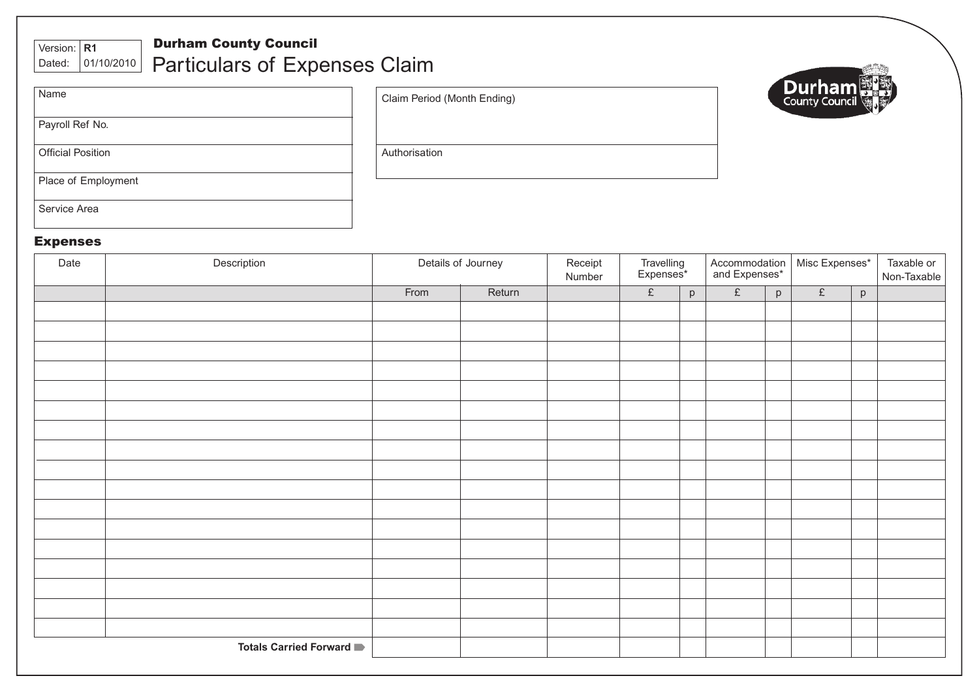# Version: **R1**

### Durham County Council Particulars of Expenses Claim Dated: 01/10/2010

| Name                     |  |
|--------------------------|--|
| Payroll Ref No.          |  |
| <b>Official Position</b> |  |
| Place of Employment      |  |
| Service Area             |  |

Claim Period (Month Ending)



**Authorisation** 

## Expenses

| Date | Description                     | Details of Journey |        | Receipt<br>Number | Travelling<br>Expenses* |   | Accommodation<br>and Expenses* |   | Misc Expenses* |   | Taxable or<br>Non-Taxable |
|------|---------------------------------|--------------------|--------|-------------------|-------------------------|---|--------------------------------|---|----------------|---|---------------------------|
|      |                                 | From               | Return |                   | $\pounds$               | p | $\pounds$                      | p | $\pounds$      | p |                           |
|      |                                 |                    |        |                   |                         |   |                                |   |                |   |                           |
|      |                                 |                    |        |                   |                         |   |                                |   |                |   |                           |
|      |                                 |                    |        |                   |                         |   |                                |   |                |   |                           |
|      |                                 |                    |        |                   |                         |   |                                |   |                |   |                           |
|      |                                 |                    |        |                   |                         |   |                                |   |                |   |                           |
|      |                                 |                    |        |                   |                         |   |                                |   |                |   |                           |
|      |                                 |                    |        |                   |                         |   |                                |   |                |   |                           |
|      |                                 |                    |        |                   |                         |   |                                |   |                |   |                           |
|      |                                 |                    |        |                   |                         |   |                                |   |                |   |                           |
|      |                                 |                    |        |                   |                         |   |                                |   |                |   |                           |
|      |                                 |                    |        |                   |                         |   |                                |   |                |   |                           |
|      |                                 |                    |        |                   |                         |   |                                |   |                |   |                           |
|      |                                 |                    |        |                   |                         |   |                                |   |                |   |                           |
|      |                                 |                    |        |                   |                         |   |                                |   |                |   |                           |
|      |                                 |                    |        |                   |                         |   |                                |   |                |   |                           |
|      |                                 |                    |        |                   |                         |   |                                |   |                |   |                           |
|      |                                 |                    |        |                   |                         |   |                                |   |                |   |                           |
|      | <b>Totals Carried Forward</b> ■ |                    |        |                   |                         |   |                                |   |                |   |                           |